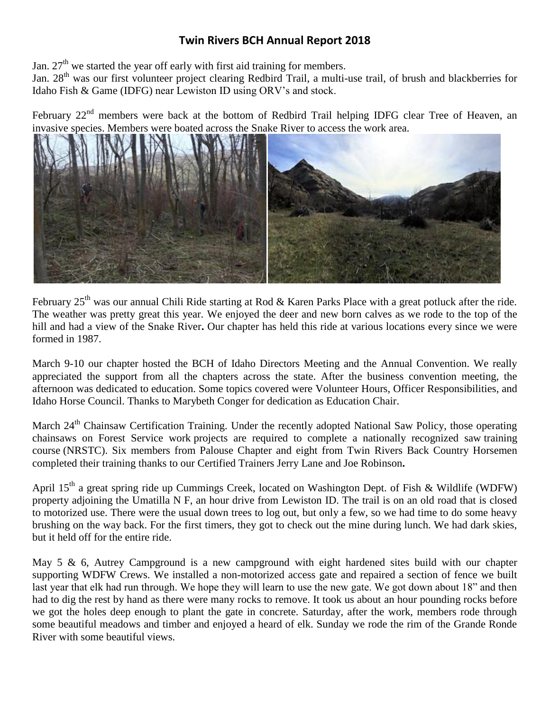# **Twin Rivers BCH Annual Report 2018**

Jan.  $27<sup>th</sup>$  we started the year off early with first aid training for members.

Jan. 28<sup>th</sup> was our first volunteer project clearing Redbird Trail, a multi-use trail, of brush and blackberries for Idaho Fish & Game (IDFG) near Lewiston ID using ORV's and stock.

February 22<sup>nd</sup> members were back at the bottom of Redbird Trail helping IDFG clear Tree of Heaven, an invasive species. Members were boated across the Snake River to access the work area.



February  $25<sup>th</sup>$  was our annual Chili Ride starting at Rod & Karen Parks Place with a great potluck after the ride. The weather was pretty great this year. We enjoyed the deer and new born calves as we rode to the top of the hill and had a view of the Snake River**.** Our chapter has held this ride at various locations every since we were formed in 1987.

March 9-10 our chapter hosted the BCH of Idaho Directors Meeting and the Annual Convention. We really appreciated the support from all the chapters across the state. After the business convention meeting, the afternoon was dedicated to education. Some topics covered were Volunteer Hours, Officer Responsibilities, and Idaho Horse Council. Thanks to Marybeth Conger for dedication as Education Chair.

March 24<sup>th</sup> Chainsaw Certification Training. Under the recently adopted National Saw Policy, those operating chainsaws on Forest Service work projects are required to complete a nationally recognized saw training course (NRSTC). Six members from Palouse Chapter and eight from Twin Rivers Back Country Horsemen completed their training thanks to our Certified Trainers Jerry Lane and Joe Robinson**.** 

April 15<sup>th</sup> a great spring ride up Cummings Creek, located on Washington Dept. of Fish & Wildlife (WDFW) property adjoining the Umatilla N F, an hour drive from Lewiston ID. The trail is on an old road that is closed to motorized use. There were the usual down trees to log out, but only a few, so we had time to do some heavy brushing on the way back. For the first timers, they got to check out the mine during lunch. We had dark skies, but it held off for the entire ride.

May 5 & 6, Autrey Campground is a new campground with eight hardened sites build with our chapter supporting WDFW Crews. We installed a non-motorized access gate and repaired a section of fence we built last year that elk had run through. We hope they will learn to use the new gate. We got down about 18" and then had to dig the rest by hand as there were many rocks to remove. It took us about an hour pounding rocks before we got the holes deep enough to plant the gate in concrete. Saturday, after the work, members rode through some beautiful meadows and timber and enjoyed a heard of elk. Sunday we rode the rim of the Grande Ronde River with some beautiful views.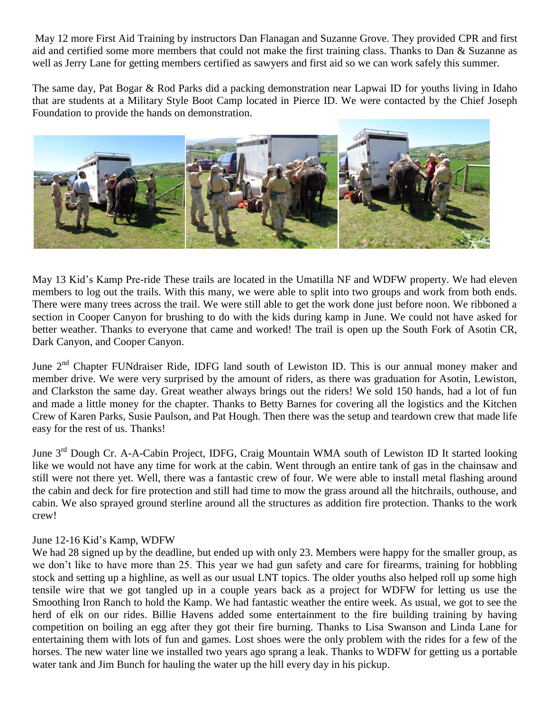May 12 more First Aid Training by instructors Dan Flanagan and Suzanne Grove. They provided CPR and first aid and certified some more members that could not make the first training class. Thanks to Dan & Suzanne as well as Jerry Lane for getting members certified as sawyers and first aid so we can work safely this summer.

The same day, Pat Bogar & Rod Parks did a packing demonstration near Lapwai ID for youths living in Idaho that are students at a Military Style Boot Camp located in Pierce ID. We were contacted by the Chief Joseph Foundation to provide the hands on demonstration.



May 13 Kid's Kamp Pre-ride These trails are located in the Umatilla NF and WDFW property. We had eleven members to log out the trails. With this many, we were able to split into two groups and work from both ends. There were many trees across the trail. We were still able to get the work done just before noon. We ribboned a section in Cooper Canyon for brushing to do with the kids during kamp in June. We could not have asked for better weather. Thanks to everyone that came and worked! The trail is open up the South Fork of Asotin CR, Dark Canyon, and Cooper Canyon.

June 2<sup>nd</sup> Chapter FUNdraiser Ride, IDFG land south of Lewiston ID. This is our annual money maker and member drive. We were very surprised by the amount of riders, as there was graduation for Asotin, Lewiston, and Clarkston the same day. Great weather always brings out the riders! We sold 150 hands, had a lot of fun and made a little money for the chapter. Thanks to Betty Barnes for covering all the logistics and the Kitchen Crew of Karen Parks, Susie Paulson, and Pat Hough. Then there was the setup and teardown crew that made life easy for the rest of us. Thanks!

June 3rd Dough Cr. A-A-Cabin Project, IDFG, Craig Mountain WMA south of Lewiston ID It started looking like we would not have any time for work at the cabin. Went through an entire tank of gas in the chainsaw and still were not there yet. Well, there was a fantastic crew of four. We were able to install metal flashing around the cabin and deck for fire protection and still had time to mow the grass around all the hitchrails, outhouse, and cabin. We also sprayed ground sterline around all the structures as addition fire protection. Thanks to the work crew!

### June 12-16 Kid's Kamp, WDFW

We had 28 signed up by the deadline, but ended up with only 23. Members were happy for the smaller group, as we don't like to have more than 25. This year we had gun safety and care for firearms, training for hobbling stock and setting up a highline, as well as our usual LNT topics. The older youths also helped roll up some high tensile wire that we got tangled up in a couple years back as a project for WDFW for letting us use the Smoothing Iron Ranch to hold the Kamp. We had fantastic weather the entire week. As usual, we got to see the herd of elk on our rides. Billie Havens added some entertainment to the fire building training by having competition on boiling an egg after they got their fire burning. Thanks to Lisa Swanson and Linda Lane for entertaining them with lots of fun and games. Lost shoes were the only problem with the rides for a few of the horses. The new water line we installed two years ago sprang a leak. Thanks to WDFW for getting us a portable water tank and Jim Bunch for hauling the water up the hill every day in his pickup.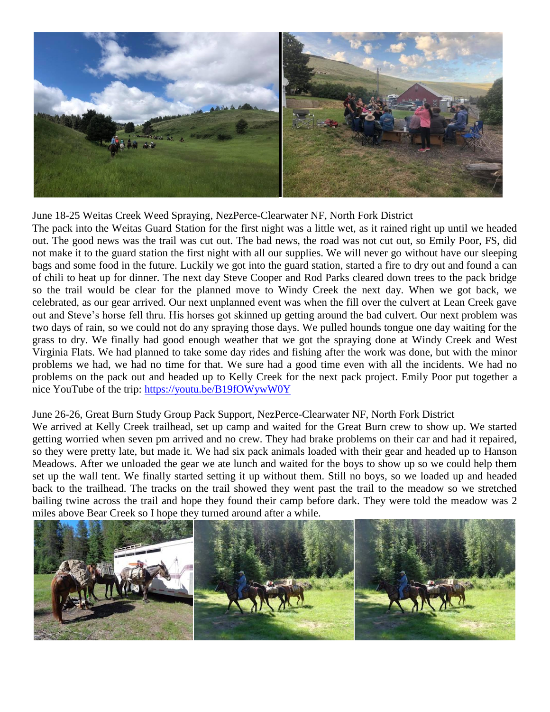

June 18-25 Weitas Creek Weed Spraying, NezPerce-Clearwater NF, North Fork District

The pack into the Weitas Guard Station for the first night was a little wet, as it rained right up until we headed out. The good news was the trail was cut out. The bad news, the road was not cut out, so Emily Poor, FS, did not make it to the guard station the first night with all our supplies. We will never go without have our sleeping bags and some food in the future. Luckily we got into the guard station, started a fire to dry out and found a can of chili to heat up for dinner. The next day Steve Cooper and Rod Parks cleared down trees to the pack bridge so the trail would be clear for the planned move to Windy Creek the next day. When we got back, we celebrated, as our gear arrived. Our next unplanned event was when the fill over the culvert at Lean Creek gave out and Steve's horse fell thru. His horses got skinned up getting around the bad culvert. Our next problem was two days of rain, so we could not do any spraying those days. We pulled hounds tongue one day waiting for the grass to dry. We finally had good enough weather that we got the spraying done at Windy Creek and West Virginia Flats. We had planned to take some day rides and fishing after the work was done, but with the minor problems we had, we had no time for that. We sure had a good time even with all the incidents. We had no problems on the pack out and headed up to Kelly Creek for the next pack project. Emily Poor put together a nice YouTube of the trip:<https://youtu.be/B19fOWywW0Y>

### June 26-26, Great Burn Study Group Pack Support, NezPerce-Clearwater NF, North Fork District

We arrived at Kelly Creek trailhead, set up camp and waited for the Great Burn crew to show up. We started getting worried when seven pm arrived and no crew. They had brake problems on their car and had it repaired, so they were pretty late, but made it. We had six pack animals loaded with their gear and headed up to Hanson Meadows. After we unloaded the gear we ate lunch and waited for the boys to show up so we could help them set up the wall tent. We finally started setting it up without them. Still no boys, so we loaded up and headed back to the trailhead. The tracks on the trail showed they went past the trail to the meadow so we stretched bailing twine across the trail and hope they found their camp before dark. They were told the meadow was 2 miles above Bear Creek so I hope they turned around after a while.

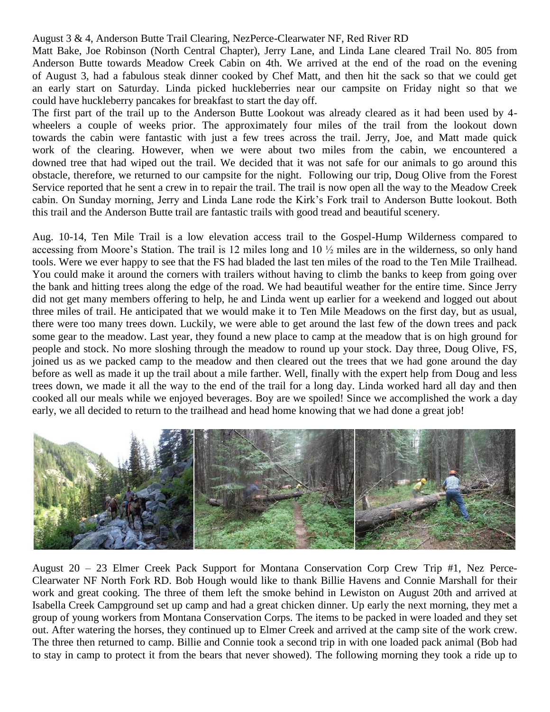### August 3 & 4, Anderson Butte Trail Clearing, NezPerce-Clearwater NF, Red River RD

Matt Bake, Joe Robinson (North Central Chapter), Jerry Lane, and Linda Lane cleared Trail No. 805 from Anderson Butte towards Meadow Creek Cabin on 4th. We arrived at the end of the road on the evening of August 3, had a fabulous steak dinner cooked by Chef Matt, and then hit the sack so that we could get an early start on Saturday. Linda picked huckleberries near our campsite on Friday night so that we could have huckleberry pancakes for breakfast to start the day off.

The first part of the trail up to the Anderson Butte Lookout was already cleared as it had been used by 4 wheelers a couple of weeks prior. The approximately four miles of the trail from the lookout down towards the cabin were fantastic with just a few trees across the trail. Jerry, Joe, and Matt made quick work of the clearing. However, when we were about two miles from the cabin, we encountered a downed tree that had wiped out the trail. We decided that it was not safe for our animals to go around this obstacle, therefore, we returned to our campsite for the night. Following our trip, Doug Olive from the Forest Service reported that he sent a crew in to repair the trail. The trail is now open all the way to the Meadow Creek cabin. On Sunday morning, Jerry and Linda Lane rode the Kirk's Fork trail to Anderson Butte lookout. Both this trail and the Anderson Butte trail are fantastic trails with good tread and beautiful scenery.

Aug. 10-14, Ten Mile Trail is a low elevation access trail to the Gospel-Hump Wilderness compared to accessing from Moore's Station. The trail is 12 miles long and 10 ½ miles are in the wilderness, so only hand tools. Were we ever happy to see that the FS had bladed the last ten miles of the road to the Ten Mile Trailhead. You could make it around the corners with trailers without having to climb the banks to keep from going over the bank and hitting trees along the edge of the road. We had beautiful weather for the entire time. Since Jerry did not get many members offering to help, he and Linda went up earlier for a weekend and logged out about three miles of trail. He anticipated that we would make it to Ten Mile Meadows on the first day, but as usual, there were too many trees down. Luckily, we were able to get around the last few of the down trees and pack some gear to the meadow. Last year, they found a new place to camp at the meadow that is on high ground for people and stock. No more sloshing through the meadow to round up your stock. Day three, Doug Olive, FS, joined us as we packed camp to the meadow and then cleared out the trees that we had gone around the day before as well as made it up the trail about a mile farther. Well, finally with the expert help from Doug and less trees down, we made it all the way to the end of the trail for a long day. Linda worked hard all day and then cooked all our meals while we enjoyed beverages. Boy are we spoiled! Since we accomplished the work a day early, we all decided to return to the trailhead and head home knowing that we had done a great job!



August 20 – 23 Elmer Creek Pack Support for Montana Conservation Corp Crew Trip #1, Nez Perce-Clearwater NF North Fork RD. Bob Hough would like to thank Billie Havens and Connie Marshall for their work and great cooking. The three of them left the smoke behind in Lewiston on August 20th and arrived at Isabella Creek Campground set up camp and had a great chicken dinner. Up early the next morning, they met a group of young workers from Montana Conservation Corps. The items to be packed in were loaded and they set out. After watering the horses, they continued up to Elmer Creek and arrived at the camp site of the work crew. The three then returned to camp. Billie and Connie took a second trip in with one loaded pack animal (Bob had to stay in camp to protect it from the bears that never showed). The following morning they took a ride up to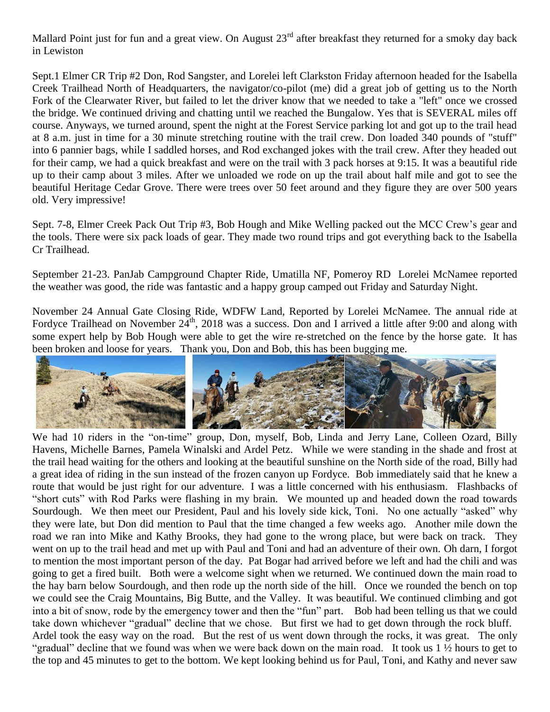Mallard Point just for fun and a great view. On August 23<sup>rd</sup> after breakfast they returned for a smoky day back in Lewiston

Sept.1 Elmer CR Trip #2 Don, Rod Sangster, and Lorelei left Clarkston Friday afternoon headed for the Isabella Creek Trailhead North of Headquarters, the navigator/co-pilot (me) did a great job of getting us to the North Fork of the Clearwater River, but failed to let the driver know that we needed to take a "left" once we crossed the bridge. We continued driving and chatting until we reached the Bungalow. Yes that is SEVERAL miles off course. Anyways, we turned around, spent the night at the Forest Service parking lot and got up to the trail head at 8 a.m. just in time for a 30 minute stretching routine with the trail crew. Don loaded 340 pounds of "stuff" into 6 pannier bags, while I saddled horses, and Rod exchanged jokes with the trail crew. After they headed out for their camp, we had a quick breakfast and were on the trail with 3 pack horses at 9:15. It was a beautiful ride up to their camp about 3 miles. After we unloaded we rode on up the trail about half mile and got to see the beautiful Heritage Cedar Grove. There were trees over 50 feet around and they figure they are over 500 years old. Very impressive!

Sept. 7-8, Elmer Creek Pack Out Trip #3, Bob Hough and Mike Welling packed out the MCC Crew's gear and the tools. There were six pack loads of gear. They made two round trips and got everything back to the Isabella Cr Trailhead.

September 21-23. PanJab Campground Chapter Ride, Umatilla NF, Pomeroy RD Lorelei McNamee reported the weather was good, the ride was fantastic and a happy group camped out Friday and Saturday Night.

November 24 Annual Gate Closing Ride, WDFW Land, Reported by Lorelei McNamee. The annual ride at Fordyce Trailhead on November  $24<sup>th</sup>$ , 2018 was a success. Don and I arrived a little after 9:00 and along with some expert help by Bob Hough were able to get the wire re-stretched on the fence by the horse gate. It has been broken and loose for years. Thank you, Don and Bob, this has been bugging me.



We had 10 riders in the "on-time" group, Don, myself, Bob, Linda and Jerry Lane, Colleen Ozard, Billy Havens, Michelle Barnes, Pamela Winalski and Ardel Petz. While we were standing in the shade and frost at the trail head waiting for the others and looking at the beautiful sunshine on the North side of the road, Billy had a great idea of riding in the sun instead of the frozen canyon up Fordyce. Bob immediately said that he knew a route that would be just right for our adventure. I was a little concerned with his enthusiasm. Flashbacks of "short cuts" with Rod Parks were flashing in my brain. We mounted up and headed down the road towards Sourdough. We then meet our President, Paul and his lovely side kick, Toni. No one actually "asked" why they were late, but Don did mention to Paul that the time changed a few weeks ago. Another mile down the road we ran into Mike and Kathy Brooks, they had gone to the wrong place, but were back on track. They went on up to the trail head and met up with Paul and Toni and had an adventure of their own. Oh darn, I forgot to mention the most important person of the day. Pat Bogar had arrived before we left and had the chili and was going to get a fired built. Both were a welcome sight when we returned. We continued down the main road to the hay barn below Sourdough, and then rode up the north side of the hill. Once we rounded the bench on top we could see the Craig Mountains, Big Butte, and the Valley. It was beautiful. We continued climbing and got into a bit of snow, rode by the emergency tower and then the "fun" part. Bob had been telling us that we could take down whichever "gradual" decline that we chose. But first we had to get down through the rock bluff. Ardel took the easy way on the road. But the rest of us went down through the rocks, it was great. The only "gradual" decline that we found was when we were back down on the main road. It took us 1 ½ hours to get to the top and 45 minutes to get to the bottom. We kept looking behind us for Paul, Toni, and Kathy and never saw